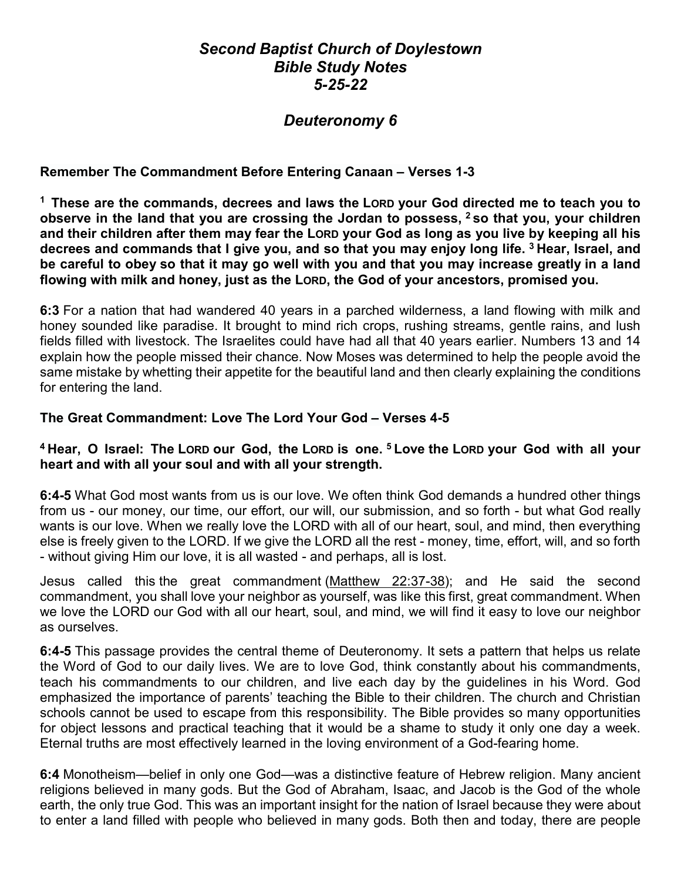# *Second Baptist Church of Doylestown Bible Study Notes 5-25-22*

# *Deuteronomy 6*

## **Remember The Commandment Before Entering Canaan – Verses 1-3**

**<sup>1</sup> These are the commands, decrees and laws the LORD your God directed me to teach you to observe in the land that you are crossing the Jordan to possess, <sup>2</sup> so that you, your children and their children after them may fear the LORD your God as long as you live by keeping all his decrees and commands that I give you, and so that you may enjoy long life. <sup>3</sup> Hear, Israel, and be careful to obey so that it may go well with you and that you may increase greatly in a land flowing with milk and honey, just as the LORD, the God of your ancestors, promised you.**

**6:3** For a nation that had wandered 40 years in a parched wilderness, a land flowing with milk and honey sounded like paradise. It brought to mind rich crops, rushing streams, gentle rains, and lush fields filled with livestock. The Israelites could have had all that 40 years earlier. Numbers 13 and 14 explain how the people missed their chance. Now Moses was determined to help the people avoid the same mistake by whetting their appetite for the beautiful land and then clearly explaining the conditions for entering the land.

#### **The Great Commandment: Love The Lord Your God – Verses 4-5**

## **<sup>4</sup> Hear, O Israel: The LORD our God, the LORD is one. <sup>5</sup> Love the LORD your God with all your heart and with all your soul and with all your strength.**

**6:4-5** What God most wants from us is our love. We often think God demands a hundred other things from us - our money, our time, our effort, our will, our submission, and so forth - but what God really wants is our love. When we really love the LORD with all of our heart, soul, and mind, then everything else is freely given to the LORD. If we give the LORD all the rest - money, time, effort, will, and so forth - without giving Him our love, it is all wasted - and perhaps, all is lost.

Jesus called this the great commandment [\(Matthew 22:37-38\)](https://www.blueletterbible.org/kjv/mat/22/37-38/s_951037); and He said the second commandment, you shall love your neighbor as yourself, was like this first, great commandment. When we love the LORD our God with all our heart, soul, and mind, we will find it easy to love our neighbor as ourselves.

**6:4-5** This passage provides the central theme of Deuteronomy. It sets a pattern that helps us relate the Word of God to our daily lives. We are to love God, think constantly about his commandments, teach his commandments to our children, and live each day by the guidelines in his Word. God emphasized the importance of parents' teaching the Bible to their children. The church and Christian schools cannot be used to escape from this responsibility. The Bible provides so many opportunities for object lessons and practical teaching that it would be a shame to study it only one day a week. Eternal truths are most effectively learned in the loving environment of a God-fearing home.

**6:4** Monotheism—belief in only one God—was a distinctive feature of Hebrew religion. Many ancient religions believed in many gods. But the God of Abraham, Isaac, and Jacob is the God of the whole earth, the only true God. This was an important insight for the nation of Israel because they were about to enter a land filled with people who believed in many gods. Both then and today, there are people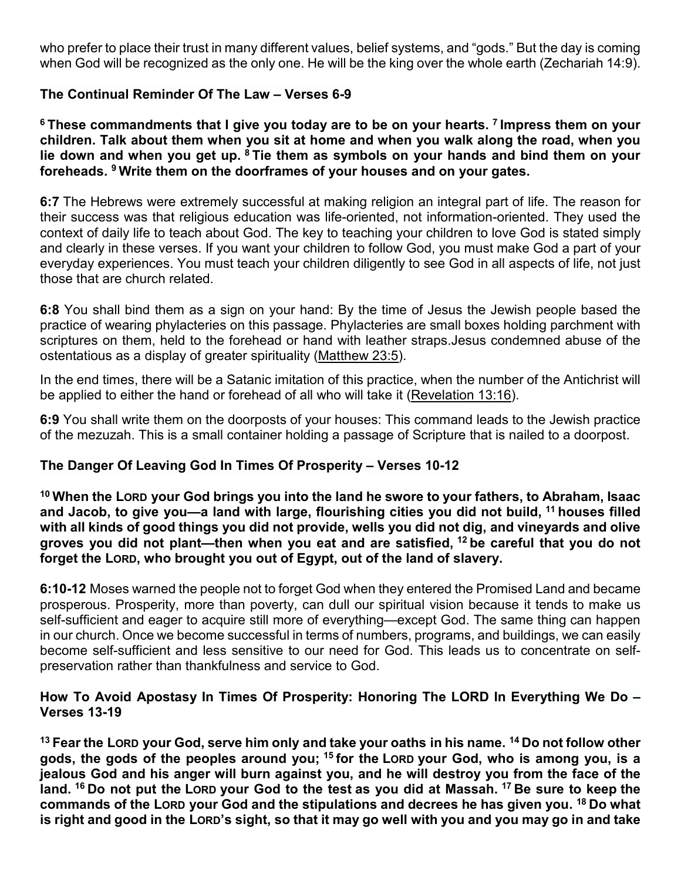who prefer to place their trust in many different values, belief systems, and "gods." But the day is coming when God will be recognized as the only one. He will be the king over the whole earth (Zechariah 14:9).

## **The Continual Reminder Of The Law – Verses 6-9**

**<sup>6</sup> These commandments that I give you today are to be on your hearts. <sup>7</sup> Impress them on your children. Talk about them when you sit at home and when you walk along the road, when you lie down and when you get up. <sup>8</sup> Tie them as symbols on your hands and bind them on your foreheads. <sup>9</sup> Write them on the doorframes of your houses and on your gates.**

**6:7** The Hebrews were extremely successful at making religion an integral part of life. The reason for their success was that religious education was life-oriented, not information-oriented. They used the context of daily life to teach about God. The key to teaching your children to love God is stated simply and clearly in these verses. If you want your children to follow God, you must make God a part of your everyday experiences. You must teach your children diligently to see God in all aspects of life, not just those that are church related.

**6:8** You shall bind them as a sign on your hand: By the time of Jesus the Jewish people based the practice of wearing phylacteries on this passage. Phylacteries are small boxes holding parchment with scriptures on them, held to the forehead or hand with leather straps.Jesus condemned abuse of the ostentatious as a display of greater spirituality [\(Matthew 23:5\)](https://www.blueletterbible.org/kjv/mat/23/5/s_952005).

In the end times, there will be a Satanic imitation of this practice, when the number of the Antichrist will be applied to either the hand or forehead of all who will take it [\(Revelation 13:16\)](https://www.blueletterbible.org/kjv/rev/13/16/s_1180016).

**6:9** You shall write them on the doorposts of your houses: This command leads to the Jewish practice of the mezuzah. This is a small container holding a passage of Scripture that is nailed to a doorpost.

# **The Danger Of Leaving God In Times Of Prosperity – Verses 10-12**

**<sup>10</sup> When the LORD your God brings you into the land he swore to your fathers, to Abraham, Isaac and Jacob, to give you—a land with large, flourishing cities you did not build, <sup>11</sup> houses filled with all kinds of good things you did not provide, wells you did not dig, and vineyards and olive groves you did not plant—then when you eat and are satisfied, <sup>12</sup> be careful that you do not forget the LORD, who brought you out of Egypt, out of the land of slavery.**

**6:10-12** Moses warned the people not to forget God when they entered the Promised Land and became prosperous. Prosperity, more than poverty, can dull our spiritual vision because it tends to make us self-sufficient and eager to acquire still more of everything—except God. The same thing can happen in our church. Once we become successful in terms of numbers, programs, and buildings, we can easily become self-sufficient and less sensitive to our need for God. This leads us to concentrate on selfpreservation rather than thankfulness and service to God.

#### **How To Avoid Apostasy In Times Of Prosperity: Honoring The LORD In Everything We Do – Verses 13-19**

**<sup>13</sup> Fear the LORD your God, serve him only and take your oaths in his name. <sup>14</sup> Do not follow other gods, the gods of the peoples around you; <sup>15</sup> for the LORD your God, who is among you, is a jealous God and his anger will burn against you, and he will destroy you from the face of the land. <sup>16</sup> Do not put the LORD your God to the test as you did at Massah. <sup>17</sup> Be sure to keep the commands of the LORD your God and the stipulations and decrees he has given you. <sup>18</sup> Do what is right and good in the LORD's sight, so that it may go well with you and you may go in and take**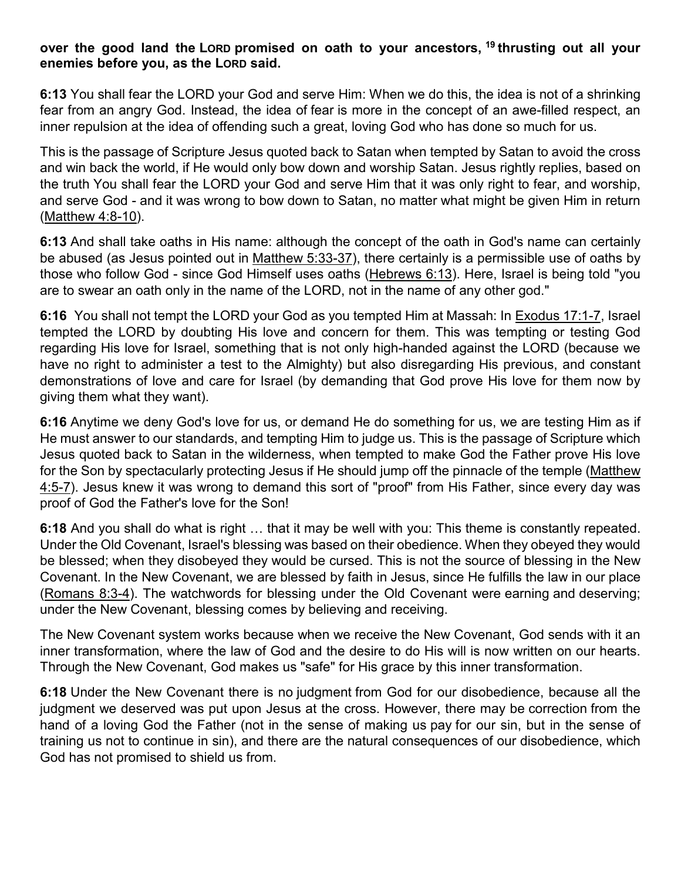#### **over the good land the LORD promised on oath to your ancestors, <sup>19</sup> thrusting out all your enemies before you, as the LORD said.**

**6:13** You shall fear the LORD your God and serve Him: When we do this, the idea is not of a shrinking fear from an angry God. Instead, the idea of fear is more in the concept of an awe-filled respect, an inner repulsion at the idea of offending such a great, loving God who has done so much for us.

This is the passage of Scripture Jesus quoted back to Satan when tempted by Satan to avoid the cross and win back the world, if He would only bow down and worship Satan. Jesus rightly replies, based on the truth You shall fear the LORD your God and serve Him that it was only right to fear, and worship, and serve God - and it was wrong to bow down to Satan, no matter what might be given Him in return [\(Matthew 4:8-10\)](https://www.blueletterbible.org/kjv/mat/4/8-10/s_933008).

**6:13** And shall take oaths in His name: although the concept of the oath in God's name can certainly be abused (as Jesus pointed out in [Matthew 5:33-37\)](https://www.blueletterbible.org/kjv/mat/5/33-37/s_934033), there certainly is a permissible use of oaths by those who follow God - since God Himself uses oaths [\(Hebrews 6:13\)](https://www.blueletterbible.org/kjv/heb/6/13/s_1139013). Here, Israel is being told "you are to swear an oath only in the name of the LORD, not in the name of any other god."

**6:16** You shall not tempt the LORD your God as you tempted Him at Massah: In [Exodus 17:1-7,](https://www.blueletterbible.org/kjv/exo/17/1-7/s_67001) Israel tempted the LORD by doubting His love and concern for them. This was tempting or testing God regarding His love for Israel, something that is not only high-handed against the LORD (because we have no right to administer a test to the Almighty) but also disregarding His previous, and constant demonstrations of love and care for Israel (by demanding that God prove His love for them now by giving them what they want).

**6:16** Anytime we deny God's love for us, or demand He do something for us, we are testing Him as if He must answer to our standards, and tempting Him to judge us. This is the passage of Scripture which Jesus quoted back to Satan in the wilderness, when tempted to make God the Father prove His love for the Son by spectacularly protecting Jesus if He should jump off the pinnacle of the temple (Matthew [4:5-7\)](https://www.blueletterbible.org/kjv/mat/4/5-7/s_933005). Jesus knew it was wrong to demand this sort of "proof" from His Father, since every day was proof of God the Father's love for the Son!

**6:18** And you shall do what is right … that it may be well with you: This theme is constantly repeated. Under the Old Covenant, Israel's blessing was based on their obedience. When they obeyed they would be blessed; when they disobeyed they would be cursed. This is not the source of blessing in the New Covenant. In the New Covenant, we are blessed by faith in Jesus, since He fulfills the law in our place [\(Romans 8:3-4\)](https://www.blueletterbible.org/kjv/rom/8/3-4/s_1054003). The watchwords for blessing under the Old Covenant were earning and deserving; under the New Covenant, blessing comes by believing and receiving.

The New Covenant system works because when we receive the New Covenant, God sends with it an inner transformation, where the law of God and the desire to do His will is now written on our hearts. Through the New Covenant, God makes us "safe" for His grace by this inner transformation.

**6:18** Under the New Covenant there is no judgment from God for our disobedience, because all the judgment we deserved was put upon Jesus at the cross. However, there may be correction from the hand of a loving God the Father (not in the sense of making us pay for our sin, but in the sense of training us not to continue in sin), and there are the natural consequences of our disobedience, which God has not promised to shield us from.